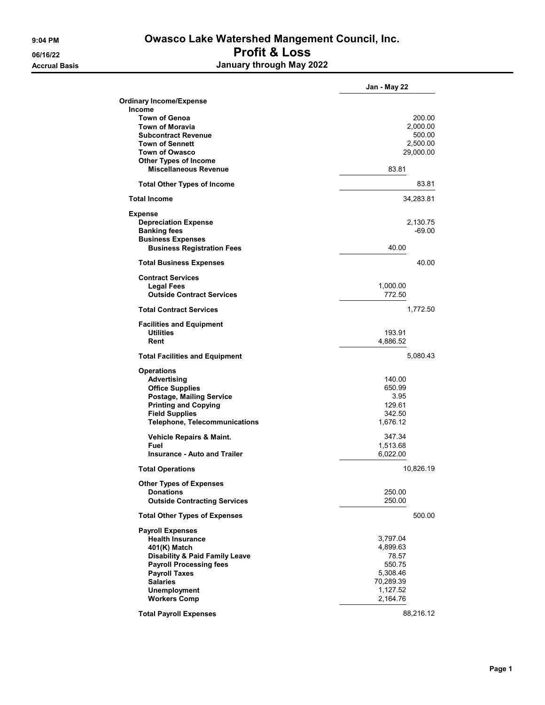## 9:04 PM **Owasco Lake Watershed Mangement Council, Inc.** 06/16/22 Profit & Loss Accrual Basis January through May 2022

|                                                    | Jan - May 22 |
|----------------------------------------------------|--------------|
| <b>Ordinary Income/Expense</b>                     |              |
| <b>Income</b>                                      |              |
| <b>Town of Genoa</b>                               | 200.00       |
| <b>Town of Moravia</b>                             | 2,000.00     |
| <b>Subcontract Revenue</b>                         | 500.00       |
| <b>Town of Sennett</b>                             | 2,500.00     |
| <b>Town of Owasco</b>                              | 29,000.00    |
| <b>Other Types of Income</b>                       |              |
| <b>Miscellaneous Revenue</b>                       | 83.81        |
| <b>Total Other Types of Income</b>                 | 83.81        |
| <b>Total Income</b>                                | 34,283.81    |
| <b>Expense</b>                                     |              |
| <b>Depreciation Expense</b>                        | 2,130.75     |
| <b>Banking fees</b>                                | $-69.00$     |
| <b>Business Expenses</b>                           |              |
| <b>Business Registration Fees</b>                  | 40.00        |
| <b>Total Business Expenses</b>                     | 40.00        |
| <b>Contract Services</b>                           |              |
| <b>Legal Fees</b>                                  | 1,000.00     |
| <b>Outside Contract Services</b>                   | 772.50       |
| <b>Total Contract Services</b>                     | 1,772.50     |
| <b>Facilities and Equipment</b>                    |              |
| <b>Utilities</b>                                   | 193.91       |
| Rent                                               | 4,886.52     |
| <b>Total Facilities and Equipment</b>              | 5,080.43     |
| <b>Operations</b>                                  |              |
| Advertising                                        | 140.00       |
| <b>Office Supplies</b>                             | 650.99       |
| Postage, Mailing Service                           | 3.95         |
| <b>Printing and Copying</b>                        | 129.61       |
| <b>Field Supplies</b>                              | 342.50       |
| <b>Telephone, Telecommunications</b>               | 1,676.12     |
| Vehicle Repairs & Maint.                           | 347.34       |
| Fuel                                               | 1,513.68     |
| <b>Insurance - Auto and Trailer</b>                | 6,022.00     |
| <b>Total Operations</b>                            | 10,826.19    |
|                                                    |              |
| <b>Other Types of Expenses</b><br><b>Donations</b> | 250.00       |
| <b>Outside Contracting Services</b>                | 250.00       |
| <b>Total Other Types of Expenses</b>               | 500.00       |
| <b>Payroll Expenses</b>                            |              |
| <b>Health Insurance</b>                            | 3,797.04     |
| 401(K) Match                                       | 4,899.63     |
| <b>Disability &amp; Paid Family Leave</b>          | 78.57        |
| <b>Payroll Processing fees</b>                     | 550.75       |
| <b>Payroll Taxes</b>                               | 5,308.46     |
| <b>Salaries</b>                                    | 70,289.39    |
| <b>Unemployment</b>                                | 1,127.52     |
| <b>Workers Comp</b>                                | 2,164.76     |
| <b>Total Payroll Expenses</b>                      | 88,216.12    |
|                                                    |              |